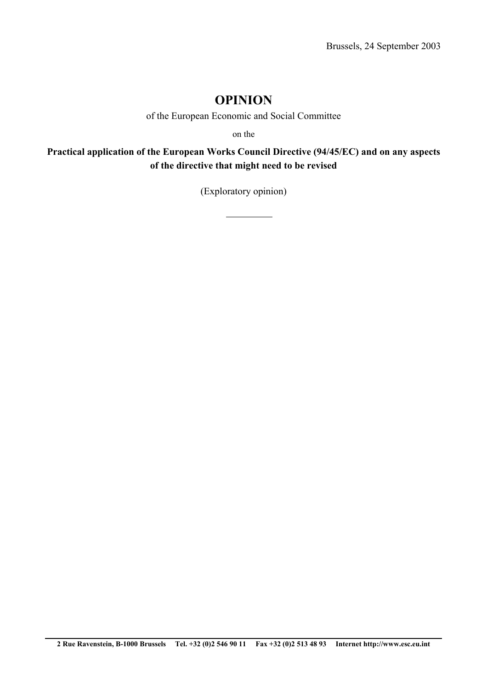# **OPINION**

of the European Economic and Social Committee

on the

**Practical application of the European Works Council Directive (94/45/EC) and on any aspects of the directive that might need to be revised** 

(Exploratory opinion)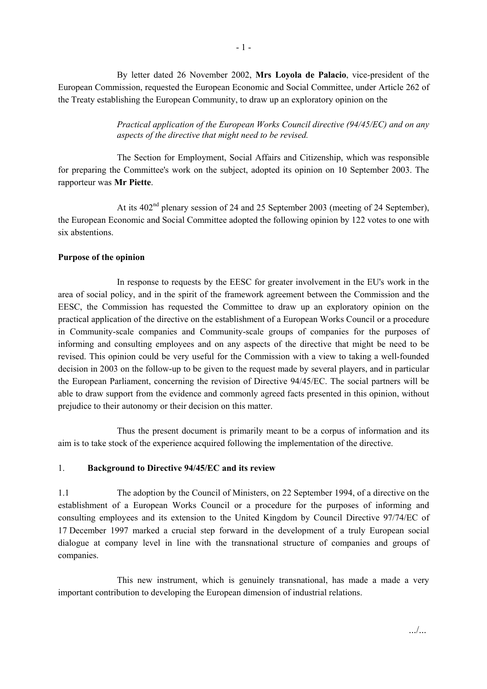By letter dated 26 November 2002, **Mrs Loyola de Palacio**, vice-president of the European Commission, requested the European Economic and Social Committee, under Article 262 of the Treaty establishing the European Community, to draw up an exploratory opinion on the

> *Practical application of the European Works Council directive (94/45/EC) and on any aspects of the directive that might need to be revised.*

The Section for Employment, Social Affairs and Citizenship, which was responsible for preparing the Committee's work on the subject, adopted its opinion on 10 September 2003. The rapporteur was **Mr Piette**.

At its 402<sup>nd</sup> plenary session of 24 and 25 September 2003 (meeting of 24 September), the European Economic and Social Committee adopted the following opinion by 122 votes to one with six abstentions.

#### **Purpose of the opinion**

 In response to requests by the EESC for greater involvement in the EU's work in the area of social policy, and in the spirit of the framework agreement between the Commission and the EESC, the Commission has requested the Committee to draw up an exploratory opinion on the practical application of the directive on the establishment of a European Works Council or a procedure in Community-scale companies and Community-scale groups of companies for the purposes of informing and consulting employees and on any aspects of the directive that might be need to be revised. This opinion could be very useful for the Commission with a view to taking a well-founded decision in 2003 on the follow-up to be given to the request made by several players, and in particular the European Parliament, concerning the revision of Directive 94/45/EC. The social partners will be able to draw support from the evidence and commonly agreed facts presented in this opinion, without prejudice to their autonomy or their decision on this matter.

 Thus the present document is primarily meant to be a corpus of information and its aim is to take stock of the experience acquired following the implementation of the directive.

#### 1. **Background to Directive 94/45/EC and its review**

1.1 The adoption by the Council of Ministers, on 22 September 1994, of a directive on the establishment of a European Works Council or a procedure for the purposes of informing and consulting employees and its extension to the United Kingdom by Council Directive 97/74/EC of 17 December 1997 marked a crucial step forward in the development of a truly European social dialogue at company level in line with the transnational structure of companies and groups of companies.

 This new instrument, which is genuinely transnational, has made a made a very important contribution to developing the European dimension of industrial relations.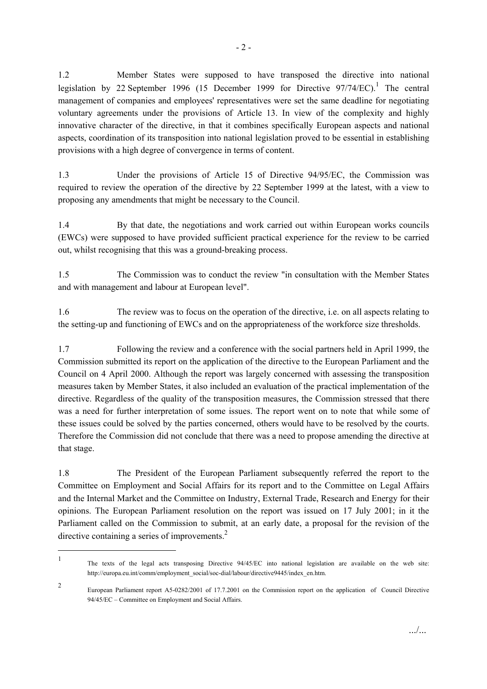1.2 Member States were supposed to have transposed the directive into national legislation by 22 September 1996 (15 December 1999 for Directive  $97/74/EC$ ).<sup>1</sup> The central management of companies and employees' representatives were set the same deadline for negotiating voluntary agreements under the provisions of Article 13. In view of the complexity and highly innovative character of the directive, in that it combines specifically European aspects and national aspects, coordination of its transposition into national legislation proved to be essential in establishing provisions with a high degree of convergence in terms of content.

1.3 Under the provisions of Article 15 of Directive 94/95/EC, the Commission was required to review the operation of the directive by 22 September 1999 at the latest, with a view to proposing any amendments that might be necessary to the Council.

1.4 By that date, the negotiations and work carried out within European works councils (EWCs) were supposed to have provided sufficient practical experience for the review to be carried out, whilst recognising that this was a ground-breaking process.

1.5 The Commission was to conduct the review "in consultation with the Member States and with management and labour at European level".

1.6 The review was to focus on the operation of the directive, i.e. on all aspects relating to the setting-up and functioning of EWCs and on the appropriateness of the workforce size thresholds.

1.7 Following the review and a conference with the social partners held in April 1999, the Commission submitted its report on the application of the directive to the European Parliament and the Council on 4 April 2000. Although the report was largely concerned with assessing the transposition measures taken by Member States, it also included an evaluation of the practical implementation of the directive. Regardless of the quality of the transposition measures, the Commission stressed that there was a need for further interpretation of some issues. The report went on to note that while some of these issues could be solved by the parties concerned, others would have to be resolved by the courts. Therefore the Commission did not conclude that there was a need to propose amending the directive at that stage.

1.8 The President of the European Parliament subsequently referred the report to the Committee on Employment and Social Affairs for its report and to the Committee on Legal Affairs and the Internal Market and the Committee on Industry, External Trade, Research and Energy for their opinions. The European Parliament resolution on the report was issued on 17 July 2001; in it the Parliament called on the Commission to submit, at an early date, a proposal for the revision of the directive containing a series of improvements.<sup>2</sup>

<sup>1</sup> The texts of the legal acts transposing Directive 94/45/EC into national legislation are available on the web site: http://europa.eu.int/comm/employment\_social/soc-dial/labour/directive9445/index\_en.htm.

<sup>2</sup> European Parliament report A5-0282/2001 of 17.7.2001 on the Commission report on the application of Council Directive 94/45/EC – Committee on Employment and Social Affairs.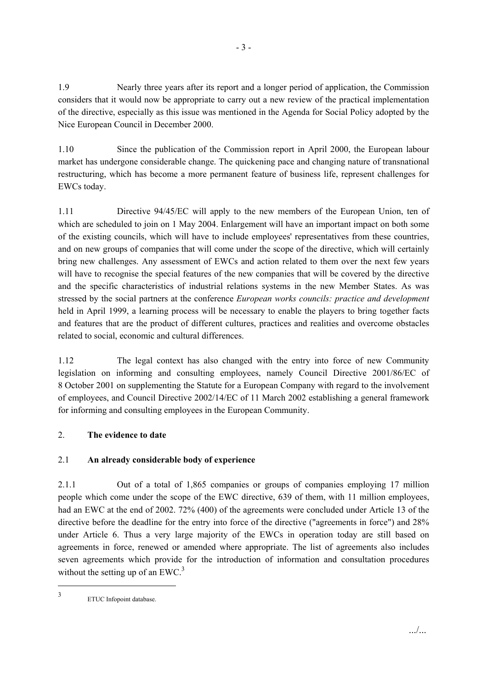1.9 Nearly three years after its report and a longer period of application, the Commission considers that it would now be appropriate to carry out a new review of the practical implementation of the directive, especially as this issue was mentioned in the Agenda for Social Policy adopted by the Nice European Council in December 2000.

1.10 Since the publication of the Commission report in April 2000, the European labour market has undergone considerable change. The quickening pace and changing nature of transnational restructuring, which has become a more permanent feature of business life, represent challenges for EWCs today.

1.11 Directive 94/45/EC will apply to the new members of the European Union, ten of which are scheduled to join on 1 May 2004. Enlargement will have an important impact on both some of the existing councils, which will have to include employees' representatives from these countries, and on new groups of companies that will come under the scope of the directive, which will certainly bring new challenges. Any assessment of EWCs and action related to them over the next few years will have to recognise the special features of the new companies that will be covered by the directive and the specific characteristics of industrial relations systems in the new Member States. As was stressed by the social partners at the conference *European works councils: practice and development*  held in April 1999, a learning process will be necessary to enable the players to bring together facts and features that are the product of different cultures, practices and realities and overcome obstacles related to social, economic and cultural differences.

1.12 The legal context has also changed with the entry into force of new Community legislation on informing and consulting employees, namely Council Directive 2001/86/EC of 8 October 2001 on supplementing the Statute for a European Company with regard to the involvement of employees, and Council Directive 2002/14/EC of 11 March 2002 establishing a general framework for informing and consulting employees in the European Community.

## 2. **The evidence to date**

## 2.1 **An already considerable body of experience**

2.1.1 Out of a total of 1,865 companies or groups of companies employing 17 million people which come under the scope of the EWC directive, 639 of them, with 11 million employees, had an EWC at the end of 2002. 72% (400) of the agreements were concluded under Article 13 of the directive before the deadline for the entry into force of the directive ("agreements in force") and 28% under Article 6. Thus a very large majority of the EWCs in operation today are still based on agreements in force, renewed or amended where appropriate. The list of agreements also includes seven agreements which provide for the introduction of information and consultation procedures without the setting up of an  $EWC<sup>3</sup>$ .

 $\overline{\phantom{a}}$ 

<sup>3</sup> ETUC Infopoint database.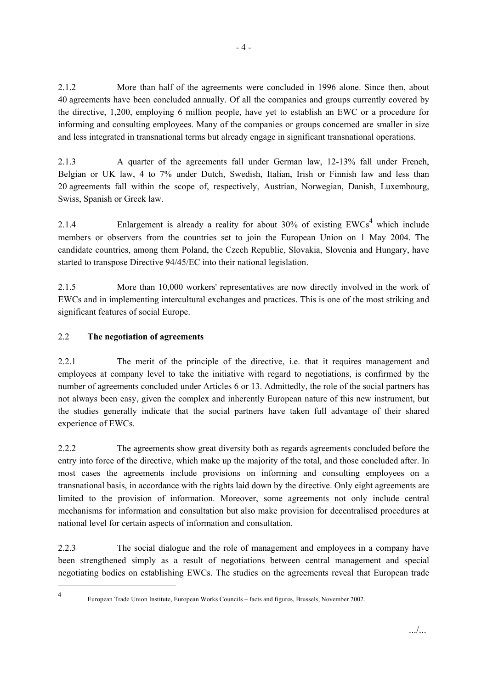2.1.2 More than half of the agreements were concluded in 1996 alone. Since then, about 40 agreements have been concluded annually. Of all the companies and groups currently covered by the directive, 1,200, employing 6 million people, have yet to establish an EWC or a procedure for informing and consulting employees. Many of the companies or groups concerned are smaller in size and less integrated in transnational terms but already engage in significant transnational operations.

2.1.3 A quarter of the agreements fall under German law, 12-13% fall under French, Belgian or UK law, 4 to 7% under Dutch, Swedish, Italian, Irish or Finnish law and less than 20 agreements fall within the scope of, respectively, Austrian, Norwegian, Danish, Luxembourg, Swiss, Spanish or Greek law.

2.1.4 Enlargement is already a reality for about  $30\%$  of existing  $EWCs<sup>4</sup>$  which include members or observers from the countries set to join the European Union on 1 May 2004. The candidate countries, among them Poland, the Czech Republic, Slovakia, Slovenia and Hungary, have started to transpose Directive 94/45/EC into their national legislation.

2.1.5 More than 10,000 workers' representatives are now directly involved in the work of EWCs and in implementing intercultural exchanges and practices. This is one of the most striking and significant features of social Europe.

## 2.2 **The negotiation of agreements**

2.2.1 The merit of the principle of the directive, i.e. that it requires management and employees at company level to take the initiative with regard to negotiations, is confirmed by the number of agreements concluded under Articles 6 or 13. Admittedly, the role of the social partners has not always been easy, given the complex and inherently European nature of this new instrument, but the studies generally indicate that the social partners have taken full advantage of their shared experience of EWCs.

2.2.2 The agreements show great diversity both as regards agreements concluded before the entry into force of the directive, which make up the majority of the total, and those concluded after. In most cases the agreements include provisions on informing and consulting employees on a transnational basis, in accordance with the rights laid down by the directive. Only eight agreements are limited to the provision of information. Moreover, some agreements not only include central mechanisms for information and consultation but also make provision for decentralised procedures at national level for certain aspects of information and consultation.

2.2.3 The social dialogue and the role of management and employees in a company have been strengthened simply as a result of negotiations between central management and special negotiating bodies on establishing EWCs. The studies on the agreements reveal that European trade

 $\overline{\phantom{a}}$ 4

European Trade Union Institute, European Works Councils – facts and figures, Brussels, November 2002.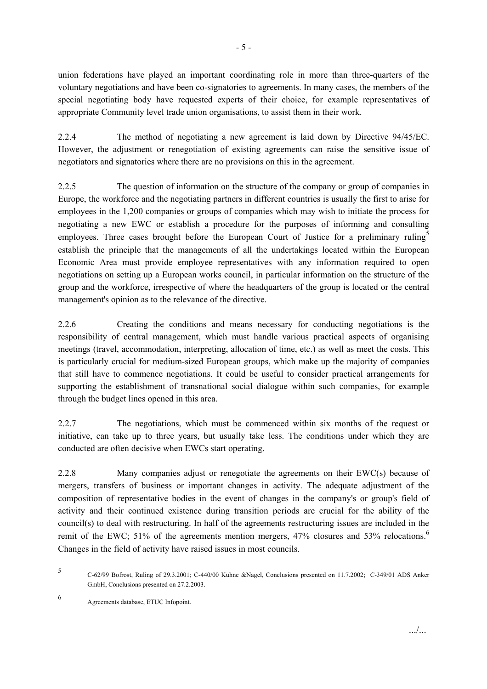union federations have played an important coordinating role in more than three-quarters of the voluntary negotiations and have been co-signatories to agreements. In many cases, the members of the special negotiating body have requested experts of their choice, for example representatives of appropriate Community level trade union organisations, to assist them in their work.

2.2.4 The method of negotiating a new agreement is laid down by Directive 94/45/EC. However, the adjustment or renegotiation of existing agreements can raise the sensitive issue of negotiators and signatories where there are no provisions on this in the agreement.

2.2.5 The question of information on the structure of the company or group of companies in Europe, the workforce and the negotiating partners in different countries is usually the first to arise for employees in the 1,200 companies or groups of companies which may wish to initiate the process for negotiating a new EWC or establish a procedure for the purposes of informing and consulting employees. Three cases brought before the European Court of Justice for a preliminary ruling<sup>5</sup> establish the principle that the managements of all the undertakings located within the European Economic Area must provide employee representatives with any information required to open negotiations on setting up a European works council, in particular information on the structure of the group and the workforce, irrespective of where the headquarters of the group is located or the central management's opinion as to the relevance of the directive.

2.2.6 Creating the conditions and means necessary for conducting negotiations is the responsibility of central management, which must handle various practical aspects of organising meetings (travel, accommodation, interpreting, allocation of time, etc.) as well as meet the costs. This is particularly crucial for medium-sized European groups, which make up the majority of companies that still have to commence negotiations. It could be useful to consider practical arrangements for supporting the establishment of transnational social dialogue within such companies, for example through the budget lines opened in this area.

2.2.7 The negotiations, which must be commenced within six months of the request or initiative, can take up to three years, but usually take less. The conditions under which they are conducted are often decisive when EWCs start operating.

2.2.8 Many companies adjust or renegotiate the agreements on their EWC(s) because of mergers, transfers of business or important changes in activity. The adequate adjustment of the composition of representative bodies in the event of changes in the company's or group's field of activity and their continued existence during transition periods are crucial for the ability of the council(s) to deal with restructuring. In half of the agreements restructuring issues are included in the remit of the EWC; 51% of the agreements mention mergers, 47% closures and 53% relocations.<sup>6</sup> Changes in the field of activity have raised issues in most councils.

<sup>5</sup> C-62/99 Bofrost, Ruling of 29.3.2001; C-440/00 Kühne &Nagel, Conclusions presented on 11.7.2002; C-349/01 ADS Anker GmbH, Conclusions presented on 27.2.2003.

<sup>6</sup> Agreements database, ETUC Infopoint.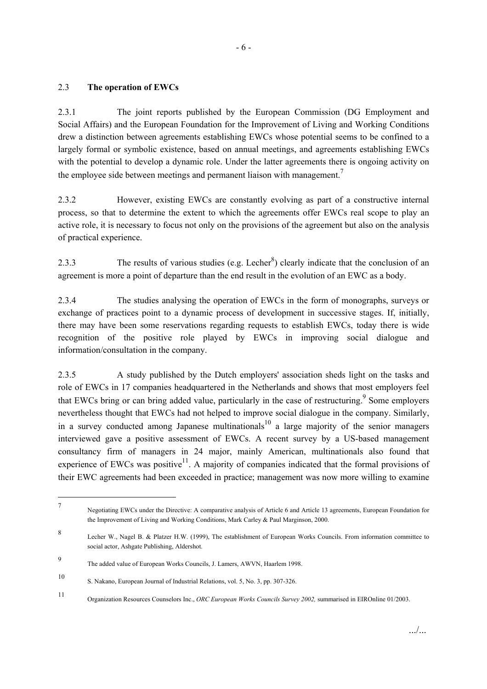#### 2.3 **The operation of EWCs**

2.3.1 The joint reports published by the European Commission (DG Employment and Social Affairs) and the European Foundation for the Improvement of Living and Working Conditions drew a distinction between agreements establishing EWCs whose potential seems to be confined to a largely formal or symbolic existence, based on annual meetings, and agreements establishing EWCs with the potential to develop a dynamic role. Under the latter agreements there is ongoing activity on the employee side between meetings and permanent liaison with management.<sup>7</sup>

2.3.2 However, existing EWCs are constantly evolving as part of a constructive internal process, so that to determine the extent to which the agreements offer EWCs real scope to play an active role, it is necessary to focus not only on the provisions of the agreement but also on the analysis of practical experience.

2.3.3 The results of various studies (e.g. Lecher<sup>8</sup>) clearly indicate that the conclusion of an agreement is more a point of departure than the end result in the evolution of an EWC as a body.

2.3.4 The studies analysing the operation of EWCs in the form of monographs, surveys or exchange of practices point to a dynamic process of development in successive stages. If, initially, there may have been some reservations regarding requests to establish EWCs, today there is wide recognition of the positive role played by EWCs in improving social dialogue and information/consultation in the company.

2.3.5 A study published by the Dutch employers' association sheds light on the tasks and role of EWCs in 17 companies headquartered in the Netherlands and shows that most employers feel that EWCs bring or can bring added value, particularly in the case of restructuring.<sup>9</sup> Some employers nevertheless thought that EWCs had not helped to improve social dialogue in the company. Similarly, in a survey conducted among Japanese multinationals<sup>10</sup> a large majority of the senior managers interviewed gave a positive assessment of EWCs. A recent survey by a US-based management consultancy firm of managers in 24 major, mainly American, multinationals also found that experience of EWCs was positive<sup>11</sup>. A majority of companies indicated that the formal provisions of their EWC agreements had been exceeded in practice; management was now more willing to examine

<sup>7</sup> Negotiating EWCs under the Directive: A comparative analysis of Article 6 and Article 13 agreements, European Foundation for the Improvement of Living and Working Conditions, Mark Carley & Paul Marginson, 2000.

<sup>8</sup> Lecher W., Nagel B. & Platzer H.W. (1999), The establishment of European Works Councils. From information committee to social actor, Ashgate Publishing, Aldershot.

<sup>9</sup> The added value of European Works Councils, J. Lamers, AWVN, Haarlem 1998.

<sup>10</sup> S. Nakano, European Journal of Industrial Relations, vol. 5, No. 3, pp. 307-326.

<sup>11</sup> Organization Resources Counselors Inc., *ORC European Works Councils Survey 2002,* summarised in EIROnline 01/2003.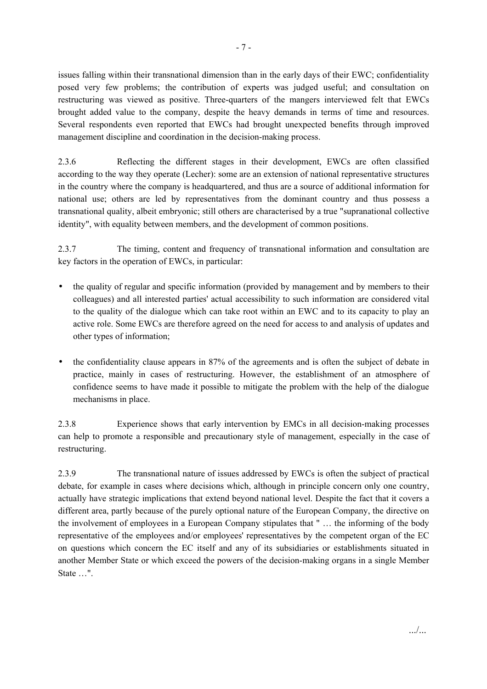issues falling within their transnational dimension than in the early days of their EWC; confidentiality posed very few problems; the contribution of experts was judged useful; and consultation on restructuring was viewed as positive. Three-quarters of the mangers interviewed felt that EWCs brought added value to the company, despite the heavy demands in terms of time and resources. Several respondents even reported that EWCs had brought unexpected benefits through improved management discipline and coordination in the decision-making process.

2.3.6 Reflecting the different stages in their development, EWCs are often classified according to the way they operate (Lecher): some are an extension of national representative structures in the country where the company is headquartered, and thus are a source of additional information for national use; others are led by representatives from the dominant country and thus possess a transnational quality, albeit embryonic; still others are characterised by a true "supranational collective identity", with equality between members, and the development of common positions.

2.3.7 The timing, content and frequency of transnational information and consultation are key factors in the operation of EWCs, in particular:

- the quality of regular and specific information (provided by management and by members to their colleagues) and all interested parties' actual accessibility to such information are considered vital to the quality of the dialogue which can take root within an EWC and to its capacity to play an active role. Some EWCs are therefore agreed on the need for access to and analysis of updates and other types of information;
- the confidentiality clause appears in 87% of the agreements and is often the subject of debate in practice, mainly in cases of restructuring. However, the establishment of an atmosphere of confidence seems to have made it possible to mitigate the problem with the help of the dialogue mechanisms in place.

2.3.8 Experience shows that early intervention by EMCs in all decision-making processes can help to promote a responsible and precautionary style of management, especially in the case of restructuring.

2.3.9 The transnational nature of issues addressed by EWCs is often the subject of practical debate, for example in cases where decisions which, although in principle concern only one country, actually have strategic implications that extend beyond national level. Despite the fact that it covers a different area, partly because of the purely optional nature of the European Company, the directive on the involvement of employees in a European Company stipulates that " … the informing of the body representative of the employees and/or employees' representatives by the competent organ of the EC on questions which concern the EC itself and any of its subsidiaries or establishments situated in another Member State or which exceed the powers of the decision-making organs in a single Member State …".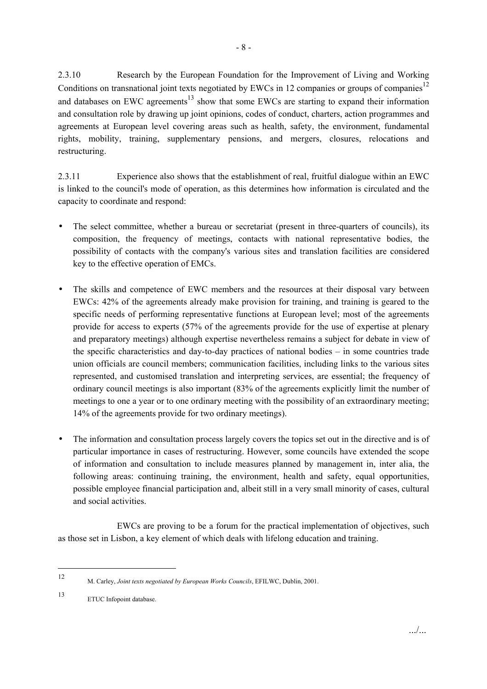2.3.10 Research by the European Foundation for the Improvement of Living and Working Conditions on transnational joint texts negotiated by EWCs in 12 companies or groups of companies<sup>12</sup> and databases on EWC agreements<sup>13</sup> show that some EWCs are starting to expand their information and consultation role by drawing up joint opinions, codes of conduct, charters, action programmes and agreements at European level covering areas such as health, safety, the environment, fundamental rights, mobility, training, supplementary pensions, and mergers, closures, relocations and restructuring.

2.3.11 Experience also shows that the establishment of real, fruitful dialogue within an EWC is linked to the council's mode of operation, as this determines how information is circulated and the capacity to coordinate and respond:

- The select committee, whether a bureau or secretariat (present in three-quarters of councils), its composition, the frequency of meetings, contacts with national representative bodies, the possibility of contacts with the company's various sites and translation facilities are considered key to the effective operation of EMCs.
- The skills and competence of EWC members and the resources at their disposal vary between EWCs: 42% of the agreements already make provision for training, and training is geared to the specific needs of performing representative functions at European level; most of the agreements provide for access to experts (57% of the agreements provide for the use of expertise at plenary and preparatory meetings) although expertise nevertheless remains a subject for debate in view of the specific characteristics and day-to-day practices of national bodies – in some countries trade union officials are council members; communication facilities, including links to the various sites represented, and customised translation and interpreting services, are essential; the frequency of ordinary council meetings is also important (83% of the agreements explicitly limit the number of meetings to one a year or to one ordinary meeting with the possibility of an extraordinary meeting; 14% of the agreements provide for two ordinary meetings).
- The information and consultation process largely covers the topics set out in the directive and is of particular importance in cases of restructuring. However, some councils have extended the scope of information and consultation to include measures planned by management in, inter alia, the following areas: continuing training, the environment, health and safety, equal opportunities, possible employee financial participation and, albeit still in a very small minority of cases, cultural and social activities.

 EWCs are proving to be a forum for the practical implementation of objectives, such as those set in Lisbon, a key element of which deals with lifelong education and training.

<sup>12</sup> M. Carley, *Joint texts negotiated by European Works Councils*, EFILWC, Dublin, 2001.

<sup>13</sup> ETUC Infopoint database.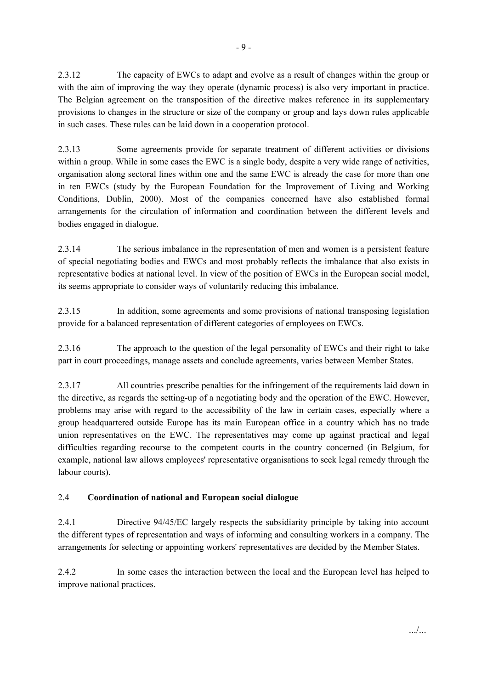2.3.12 The capacity of EWCs to adapt and evolve as a result of changes within the group or with the aim of improving the way they operate (dynamic process) is also very important in practice. The Belgian agreement on the transposition of the directive makes reference in its supplementary provisions to changes in the structure or size of the company or group and lays down rules applicable in such cases. These rules can be laid down in a cooperation protocol.

2.3.13 Some agreements provide for separate treatment of different activities or divisions within a group. While in some cases the EWC is a single body, despite a very wide range of activities, organisation along sectoral lines within one and the same EWC is already the case for more than one in ten EWCs (study by the European Foundation for the Improvement of Living and Working Conditions, Dublin, 2000). Most of the companies concerned have also established formal arrangements for the circulation of information and coordination between the different levels and bodies engaged in dialogue.

2.3.14 The serious imbalance in the representation of men and women is a persistent feature of special negotiating bodies and EWCs and most probably reflects the imbalance that also exists in representative bodies at national level. In view of the position of EWCs in the European social model, its seems appropriate to consider ways of voluntarily reducing this imbalance.

2.3.15 In addition, some agreements and some provisions of national transposing legislation provide for a balanced representation of different categories of employees on EWCs.

2.3.16 The approach to the question of the legal personality of EWCs and their right to take part in court proceedings, manage assets and conclude agreements, varies between Member States.

2.3.17 All countries prescribe penalties for the infringement of the requirements laid down in the directive, as regards the setting-up of a negotiating body and the operation of the EWC. However, problems may arise with regard to the accessibility of the law in certain cases, especially where a group headquartered outside Europe has its main European office in a country which has no trade union representatives on the EWC. The representatives may come up against practical and legal difficulties regarding recourse to the competent courts in the country concerned (in Belgium, for example, national law allows employees' representative organisations to seek legal remedy through the labour courts).

## 2.4 **Coordination of national and European social dialogue**

2.4.1 Directive 94/45/EC largely respects the subsidiarity principle by taking into account the different types of representation and ways of informing and consulting workers in a company. The arrangements for selecting or appointing workers' representatives are decided by the Member States.

2.4.2 In some cases the interaction between the local and the European level has helped to improve national practices.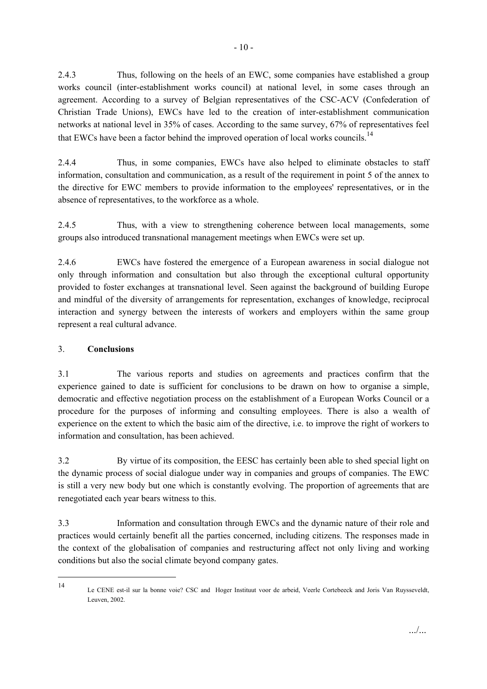2.4.3 Thus, following on the heels of an EWC, some companies have established a group works council (inter-establishment works council) at national level, in some cases through an agreement. According to a survey of Belgian representatives of the CSC-ACV (Confederation of Christian Trade Unions), EWCs have led to the creation of inter-establishment communication networks at national level in 35% of cases. According to the same survey, 67% of representatives feel that EWCs have been a factor behind the improved operation of local works councils.<sup>14</sup>

2.4.4 Thus, in some companies, EWCs have also helped to eliminate obstacles to staff information, consultation and communication, as a result of the requirement in point 5 of the annex to the directive for EWC members to provide information to the employees' representatives, or in the absence of representatives, to the workforce as a whole.

2.4.5 Thus, with a view to strengthening coherence between local managements, some groups also introduced transnational management meetings when EWCs were set up.

2.4.6 EWCs have fostered the emergence of a European awareness in social dialogue not only through information and consultation but also through the exceptional cultural opportunity provided to foster exchanges at transnational level. Seen against the background of building Europe and mindful of the diversity of arrangements for representation, exchanges of knowledge, reciprocal interaction and synergy between the interests of workers and employers within the same group represent a real cultural advance.

## 3. **Conclusions**

l

3.1 The various reports and studies on agreements and practices confirm that the experience gained to date is sufficient for conclusions to be drawn on how to organise a simple, democratic and effective negotiation process on the establishment of a European Works Council or a procedure for the purposes of informing and consulting employees. There is also a wealth of experience on the extent to which the basic aim of the directive, i.e. to improve the right of workers to information and consultation, has been achieved.

3.2 By virtue of its composition, the EESC has certainly been able to shed special light on the dynamic process of social dialogue under way in companies and groups of companies. The EWC is still a very new body but one which is constantly evolving. The proportion of agreements that are renegotiated each year bears witness to this.

3.3 Information and consultation through EWCs and the dynamic nature of their role and practices would certainly benefit all the parties concerned, including citizens. The responses made in the context of the globalisation of companies and restructuring affect not only living and working conditions but also the social climate beyond company gates.

<sup>14</sup> Le CENE est-il sur la bonne voie? CSC and Hoger Instituut voor de arbeid, Veerle Cortebeeck and Joris Van Ruysseveldt, Leuven, 2002.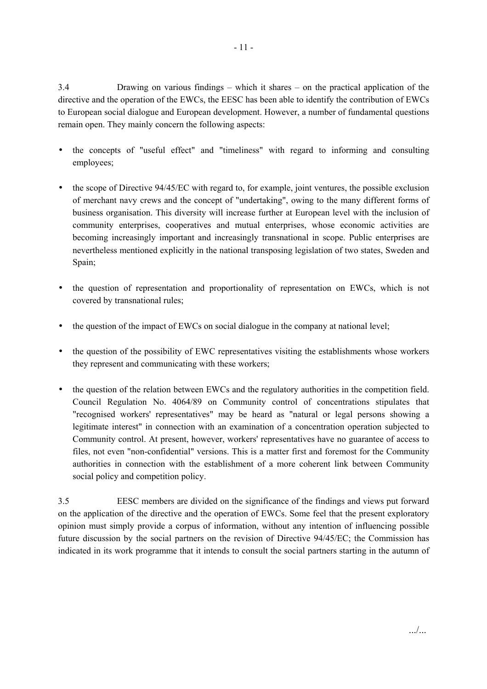3.4 Drawing on various findings – which it shares – on the practical application of the directive and the operation of the EWCs, the EESC has been able to identify the contribution of EWCs to European social dialogue and European development. However, a number of fundamental questions remain open. They mainly concern the following aspects:

- the concepts of "useful effect" and "timeliness" with regard to informing and consulting employees;
- the scope of Directive 94/45/EC with regard to, for example, joint ventures, the possible exclusion of merchant navy crews and the concept of "undertaking", owing to the many different forms of business organisation. This diversity will increase further at European level with the inclusion of community enterprises, cooperatives and mutual enterprises, whose economic activities are becoming increasingly important and increasingly transnational in scope. Public enterprises are nevertheless mentioned explicitly in the national transposing legislation of two states, Sweden and Spain;
- the question of representation and proportionality of representation on EWCs, which is not covered by transnational rules;
- the question of the impact of EWCs on social dialogue in the company at national level;
- the question of the possibility of EWC representatives visiting the establishments whose workers they represent and communicating with these workers;
- the question of the relation between EWCs and the regulatory authorities in the competition field. Council Regulation No. 4064/89 on Community control of concentrations stipulates that "recognised workers' representatives" may be heard as "natural or legal persons showing a legitimate interest" in connection with an examination of a concentration operation subjected to Community control. At present, however, workers' representatives have no guarantee of access to files, not even "non-confidential" versions. This is a matter first and foremost for the Community authorities in connection with the establishment of a more coherent link between Community social policy and competition policy.

3.5 EESC members are divided on the significance of the findings and views put forward on the application of the directive and the operation of EWCs. Some feel that the present exploratory opinion must simply provide a corpus of information, without any intention of influencing possible future discussion by the social partners on the revision of Directive 94/45/EC; the Commission has indicated in its work programme that it intends to consult the social partners starting in the autumn of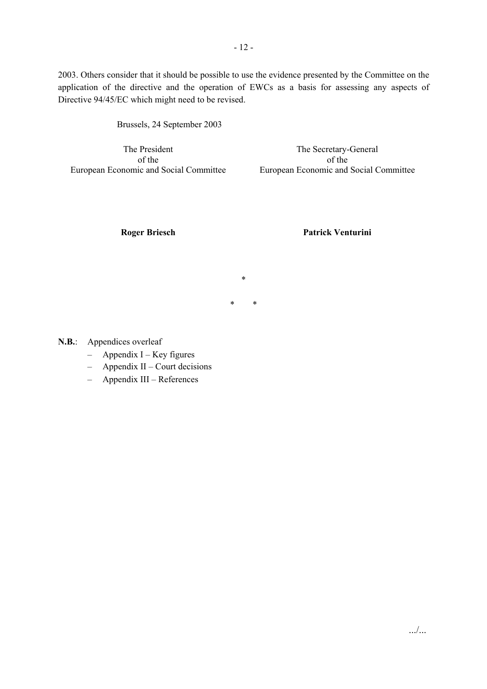2003. Others consider that it should be possible to use the evidence presented by the Committee on the application of the directive and the operation of EWCs as a basis for assessing any aspects of Directive 94/45/EC which might need to be revised.

\*

\* \*

Brussels, 24 September 2003

The President of the European Economic and Social Committee

The Secretary-General of the European Economic and Social Committee

**Roger Briesch Patrick Venturini** 

**N.B.**: Appendices overleaf

- Appendix I Key figures
- Appendix II Court decisions
- Appendix III References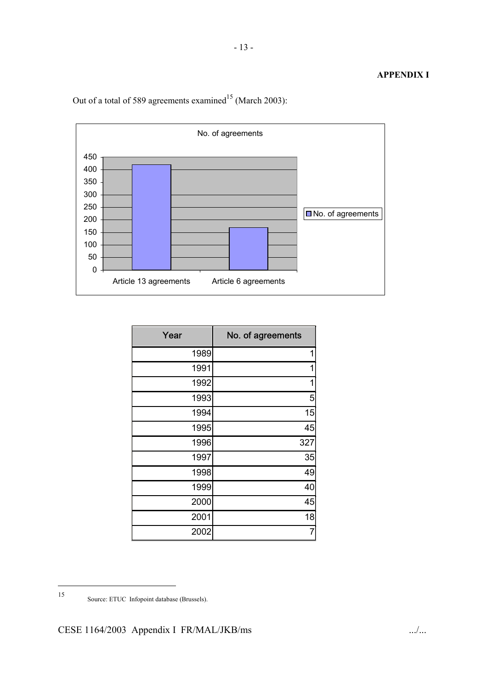## **APPENDIX I**



Out of a total of 589 agreements examined<sup>15</sup> (March 2003):

| Year | No. of agreements |
|------|-------------------|
| 1989 | 1                 |
| 1991 | 1                 |
| 1992 | 1                 |
| 1993 | 5                 |
| 1994 | 15                |
| 1995 | 45                |
| 1996 | 327               |
| 1997 | 35                |
| 1998 | 49                |
| 1999 | 40                |
| 2000 | 45                |
| 2001 | 18                |
| 2002 | 7                 |

 $\overline{\phantom{a}}$ 

<sup>15</sup> Source: ETUC Infopoint database (Brussels).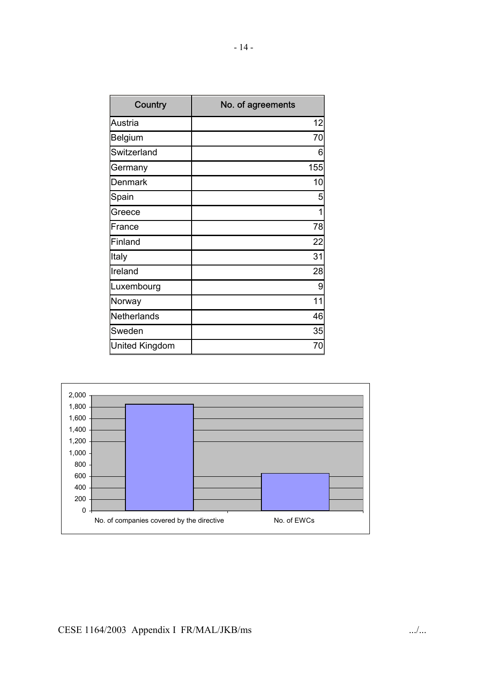| Country               | No. of agreements |
|-----------------------|-------------------|
| Austria               | 12                |
| <b>Belgium</b>        | 70                |
| Switzerland           | 6                 |
| Germany               | 155               |
| <b>Denmark</b>        | 10                |
| Spain                 | 5                 |
| Greece                | 1                 |
| France                | 78                |
| Finland               | 22                |
| Italy                 | 31                |
| Ireland               | 28                |
| Luxembourg            | 9                 |
| Norway                | 11                |
| Netherlands           | 46                |
| Sweden                | 35                |
| <b>United Kingdom</b> | 70                |

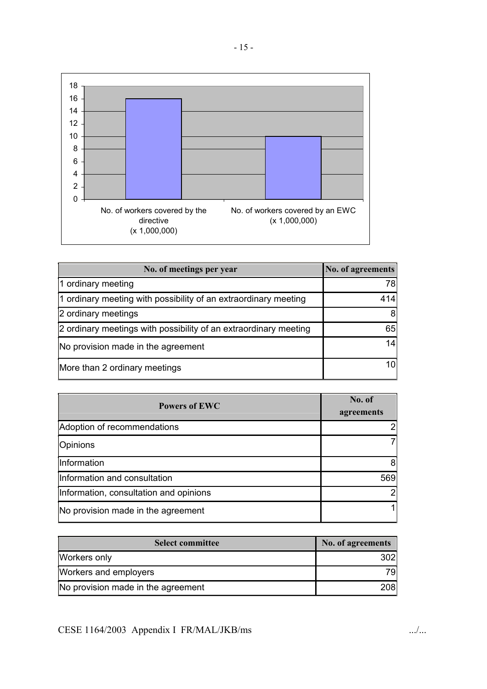

| No. of meetings per year                                         | No. of agreements |
|------------------------------------------------------------------|-------------------|
| 1 ordinary meeting                                               | 78I               |
| 1 ordinary meeting with possibility of an extraordinary meeting  | 414               |
| 2 ordinary meetings                                              | 81                |
| 2 ordinary meetings with possibility of an extraordinary meeting | 65                |
| No provision made in the agreement                               | 14                |
| More than 2 ordinary meetings                                    |                   |

| <b>Powers of EWC</b>                   | No. of<br>agreements |
|----------------------------------------|----------------------|
| Adoption of recommendations            |                      |
| Opinions                               |                      |
| Information                            | 8                    |
| Information and consultation           | 569                  |
| Information, consultation and opinions | 2                    |
| No provision made in the agreement     |                      |

| <b>Select committee</b>            | No. of agreements |
|------------------------------------|-------------------|
| Workers only                       | 3021              |
| Workers and employers              | 791               |
| No provision made in the agreement | <b>208</b>        |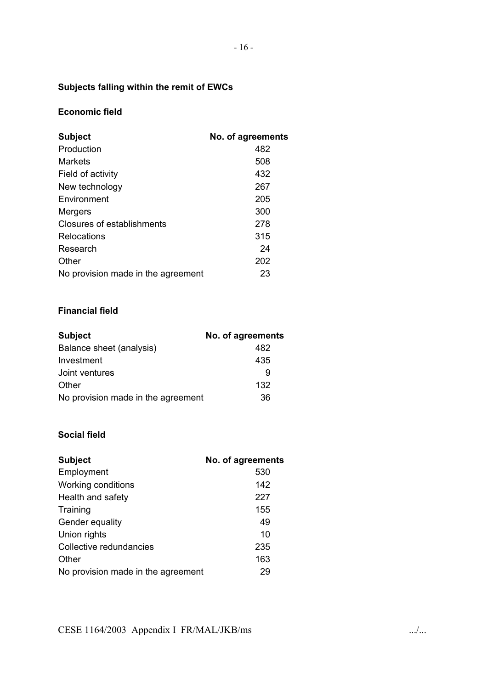# **Subjects falling within the remit of EWCs**

## **Economic field**

| <b>Subject</b>                     | No. of agreements |
|------------------------------------|-------------------|
| Production                         | 482               |
| <b>Markets</b>                     | 508               |
| Field of activity                  | 432               |
| New technology                     | 267               |
| Environment                        | 205               |
| Mergers                            | 300               |
| Closures of establishments         | 278               |
| Relocations                        | 315               |
| Research                           | 24                |
| Other                              | 202               |
| No provision made in the agreement | 23                |

## **Financial field**

| <b>Subject</b>                     | No. of agreements |
|------------------------------------|-------------------|
| Balance sheet (analysis)           | 482               |
| Investment                         | 435               |
| Joint ventures                     | 9                 |
| Other                              | 132               |
| No provision made in the agreement | 36                |

## **Social field**

| <b>Subject</b>                     | No. of agreements |
|------------------------------------|-------------------|
| Employment                         | 530               |
| Working conditions                 | 142               |
| Health and safety                  | 227               |
| Training                           | 155               |
| Gender equality                    | 49                |
| Union rights                       | 10                |
| Collective redundancies            | 235               |
| Other                              | 163               |
| No provision made in the agreement | 29                |

CESE 1164/2003 Appendix I FR/MAL/JKB/ms ..../...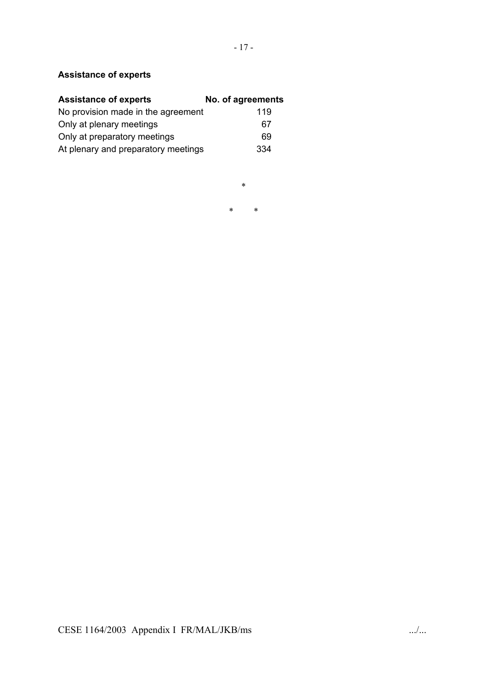# **Assistance of experts**

| <b>Assistance of experts</b>        | No. of agreements |
|-------------------------------------|-------------------|
| No provision made in the agreement  | 119               |
| Only at plenary meetings            | 67                |
| Only at preparatory meetings        | 69                |
| At plenary and preparatory meetings | 334               |

\*

\* \*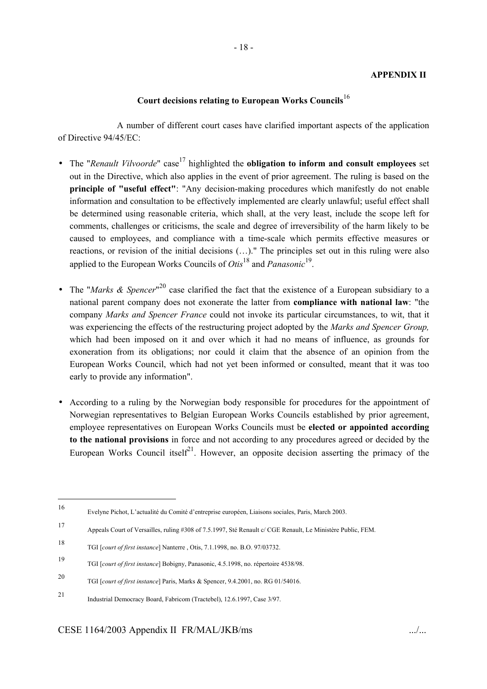#### **APPENDIX II**

### **Court decisions relating to European Works Councils**<sup>16</sup>

 A number of different court cases have clarified important aspects of the application of Directive 94/45/EC:

- The "*Renault Vilvoorde*" case<sup>17</sup> highlighted the **obligation to inform and consult employees** set out in the Directive, which also applies in the event of prior agreement. The ruling is based on the **principle of "useful effect"**: "Any decision-making procedures which manifestly do not enable information and consultation to be effectively implemented are clearly unlawful; useful effect shall be determined using reasonable criteria, which shall, at the very least, include the scope left for comments, challenges or criticisms, the scale and degree of irreversibility of the harm likely to be caused to employees, and compliance with a time-scale which permits effective measures or reactions, or revision of the initial decisions (…)." The principles set out in this ruling were also applied to the European Works Councils of *Otis*<sup>18</sup> and *Panasonic*<sup>19</sup>.
- The "*Marks & Spencer*" 20 case clarified the fact that the existence of a European subsidiary to a national parent company does not exonerate the latter from **compliance with national law**: "the company *Marks and Spencer France* could not invoke its particular circumstances, to wit, that it was experiencing the effects of the restructuring project adopted by the *Marks and Spencer Group,*  which had been imposed on it and over which it had no means of influence, as grounds for exoneration from its obligations; nor could it claim that the absence of an opinion from the European Works Council, which had not yet been informed or consulted, meant that it was too early to provide any information".
- According to a ruling by the Norwegian body responsible for procedures for the appointment of Norwegian representatives to Belgian European Works Councils established by prior agreement, employee representatives on European Works Councils must be **elected or appointed according to the national provisions** in force and not according to any procedures agreed or decided by the European Works Council itself<sup>21</sup>. However, an opposite decision asserting the primacy of the

<sup>16</sup> Evelyne Pichot, L'actualité du Comité d'entreprise européen, Liaisons sociales, Paris, March 2003.

<sup>17</sup> Appeals Court of Versailles, ruling #308 of 7.5.1997, Sté Renault c/ CGE Renault, Le Ministère Public, FEM.

<sup>18</sup> TGI [*court of first instance*] Nanterre , Otis, 7.1.1998, no. B.O. 97/03732.

<sup>19</sup> TGI [*court of first instance*] Bobigny, Panasonic, 4.5.1998, no. répertoire 4538/98.

<sup>20</sup> TGI [*court of first instance*] Paris, Marks & Spencer, 9.4.2001, no. RG 01/54016.

<sup>21</sup> Industrial Democracy Board, Fabricom (Tractebel), 12.6.1997, Case 3/97.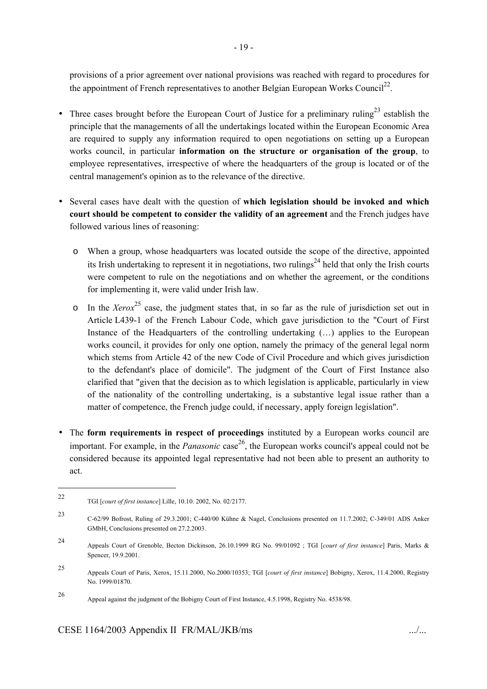provisions of a prior agreement over national provisions was reached with regard to procedures for the appointment of French representatives to another Belgian European Works Council<sup>22</sup>.

- Three cases brought before the European Court of Justice for a preliminary ruling<sup>23</sup> establish the principle that the managements of all the undertakings located within the European Economic Area are required to supply any information required to open negotiations on setting up a European works council, in particular **information on the structure or organisation of the group**, to employee representatives, irrespective of where the headquarters of the group is located or of the central management's opinion as to the relevance of the directive.
- Several cases have dealt with the question of **which legislation should be invoked and which court should be competent to consider the validity of an agreement** and the French judges have followed various lines of reasoning:
	- o When a group, whose headquarters was located outside the scope of the directive, appointed its Irish undertaking to represent it in negotiations, two rulings<sup>24</sup> held that only the Irish courts were competent to rule on the negotiations and on whether the agreement, or the conditions for implementing it, were valid under Irish law.
	- $\circ$  In the *Xerox*<sup>25</sup> case, the judgment states that, in so far as the rule of jurisdiction set out in Article L439-1 of the French Labour Code, which gave jurisdiction to the "Court of First Instance of the Headquarters of the controlling undertaking (…) applies to the European works council, it provides for only one option, namely the primacy of the general legal norm which stems from Article 42 of the new Code of Civil Procedure and which gives jurisdiction to the defendant's place of domicile". The judgment of the Court of First Instance also clarified that "given that the decision as to which legislation is applicable, particularly in view of the nationality of the controlling undertaking, is a substantive legal issue rather than a matter of competence, the French judge could, if necessary, apply foreign legislation".
- The **form requirements in respect of proceedings** instituted by a European works council are important. For example, in the *Panasonic* case 26, the European works council's appeal could not be considered because its appointed legal representative had not been able to present an authority to act.

<sup>22</sup> TGI [*court of first instance*] Lille, 10.10. 2002, No. 02/2177.

<sup>23</sup> C-62/99 Bofrost, Ruling of 29.3.2001; C-440/00 Kühne & Nagel, Conclusions presented on 11.7.2002; C-349/01 ADS Anker GMbH, Conclusions presented on 27.2.2003.

<sup>24</sup> Appeals Court of Grenoble, Becton Dickinson, 26.10.1999 RG No. 99/01092 ; TGI [*court of first instance*] Paris, Marks & Spencer, 19.9.2001.

<sup>25</sup> Appeals Court of Paris, Xerox, 15.11.2000, No.2000/10353; TGI [*court of first instance*] Bobigny, Xerox, 11.4.2000, Registry No. 1999/01870.

<sup>26</sup> Appeal against the judgment of the Bobigny Court of First Instance, 4.5.1998, Registry No. 4538/98.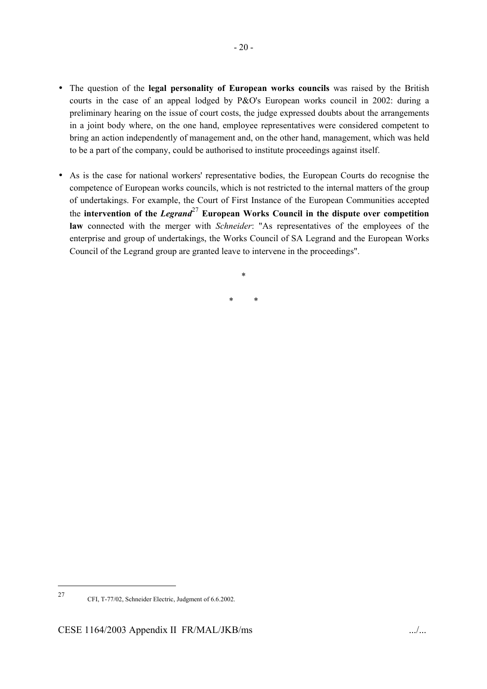- The question of the **legal personality of European works councils** was raised by the British courts in the case of an appeal lodged by P&O's European works council in 2002: during a preliminary hearing on the issue of court costs, the judge expressed doubts about the arrangements in a joint body where, on the one hand, employee representatives were considered competent to bring an action independently of management and, on the other hand, management, which was held to be a part of the company, could be authorised to institute proceedings against itself.
- As is the case for national workers' representative bodies, the European Courts do recognise the competence of European works councils, which is not restricted to the internal matters of the group of undertakings. For example, the Court of First Instance of the European Communities accepted the **intervention of the** *Legrand*27 **European Works Council in the dispute over competition law** connected with the merger with *Schneider*: "As representatives of the employees of the enterprise and group of undertakings, the Works Council of SA Legrand and the European Works Council of the Legrand group are granted leave to intervene in the proceedings".

\* \*

\*

 $\overline{\phantom{a}}$ 

<sup>27</sup> CFI, T-77/02, Schneider Electric, Judgment of 6.6.2002.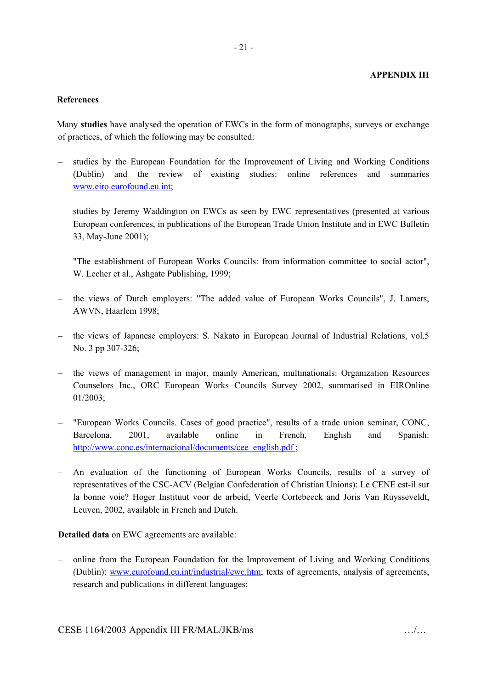#### **References**

Many **studies** have analysed the operation of EWCs in the form of monographs, surveys or exchange of practices, of which the following may be consulted:

- studies by the European Foundation for the Improvement of Living and Working Conditions (Dublin) and the review of existing studies: online references and summaries www.eiro.eurofound.eu.int;
- studies by Jeremy Waddington on EWCs as seen by EWC representatives (presented at various European conferences, in publications of the European Trade Union Institute and in EWC Bulletin 33, May-June 2001);
- "The establishment of European Works Councils: from information committee to social actor", W. Lecher et al., Ashgate Publishing, 1999;
- the views of Dutch employers: "The added value of European Works Councils", J. Lamers, AWVN, Haarlem 1998;
- the views of Japanese employers: S. Nakato in European Journal of Industrial Relations, vol.5 No. 3 pp 307-326;
- the views of management in major, mainly American, multinationals: Organization Resources Counselors Inc., ORC European Works Councils Survey 2002, summarised in EIROnline 01/2003;
- "European Works Councils. Cases of good practice", results of a trade union seminar, CONC, Barcelona, 2001, available online in French, English and Spanish: http://www.conc.es/internacional/documents/cee\_english.pdf ;
- An evaluation of the functioning of European Works Councils, results of a survey of representatives of the CSC-ACV (Belgian Confederation of Christian Unions): Le CENE est-il sur la bonne voie? Hoger Instituut voor de arbeid, Veerle Cortebeeck and Joris Van Ruysseveldt, Leuven, 2002, available in French and Dutch.

**Detailed data** on EWC agreements are available:

– online from the European Foundation for the Improvement of Living and Working Conditions (Dublin): www.eurofound.eu.int/industrial/ewc.htm; texts of agreements, analysis of agreements, research and publications in different languages;